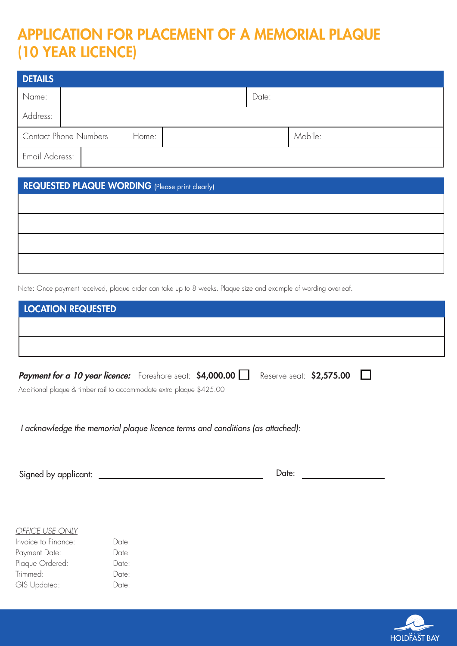# APPLICATION FOR PLACEMENT OF A MEMORIAL PLAQUE (10 YEAR LICENCE)

| <b>DETAILS</b>                        |  |  |         |  |
|---------------------------------------|--|--|---------|--|
| Name:                                 |  |  | Date:   |  |
| Address:                              |  |  |         |  |
| <b>Contact Phone Numbers</b><br>Home: |  |  | Mobile: |  |
| Email Address:                        |  |  |         |  |

# REQUESTED PLAQUE WORDING (Please print clearly)

Note: Once payment received, plaque order can take up to 8 weeks. Plaque size and example of wording overleaf.

| <b>LOCATION REQUESTED</b>                                            |  |  |                           |  |  |
|----------------------------------------------------------------------|--|--|---------------------------|--|--|
|                                                                      |  |  |                           |  |  |
|                                                                      |  |  |                           |  |  |
| <b>Payment for a 10 year licence:</b> Foreshore seat: \$4,000.00     |  |  | Reserve seat: $$2,575.00$ |  |  |
| Additional plaque & timber rail to accommodate extra plaque \$425.00 |  |  |                           |  |  |

I acknowledge the memorial plaque licence terms and conditions (as attached):

| $\sim$<br>a company and the company of the company of the<br>$- - - -$<br><b>Sidned</b><br>ער<br>,,,<br>$- - - - - -$ | 11 F |  |
|-----------------------------------------------------------------------------------------------------------------------|------|--|
|                                                                                                                       |      |  |

| OFFICE USE ONLY |  |
|-----------------|--|
|                 |  |

| Invoice to Finance: | Date: |
|---------------------|-------|
| Payment Date:       | Date: |
| Plaque Ordered:     | Date: |
| Trimmed:            | Date: |
| GIS Updated:        | Date: |

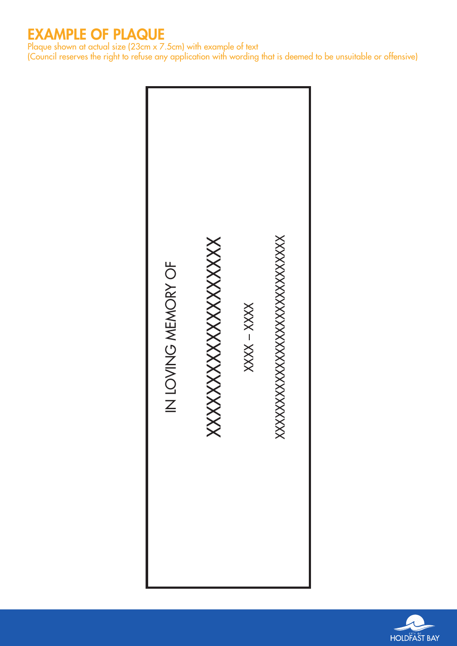# EXAMPLE OF PLAQUE

Plaque shown at actual size (23cm x 7.5cm) with example of text

(Council reserves the right to refuse any application with wording that is deemed to be unsuitable or offensive)



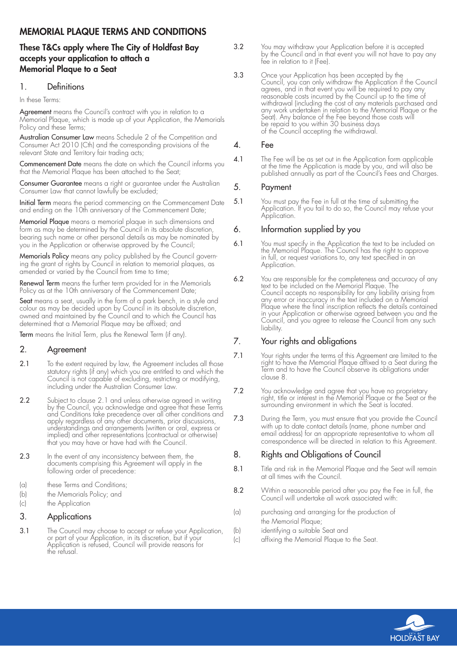# MEMORIAL PLAQUE TERMS AND CONDITIONS

# These T&Cs apply where The City of Holdfast Bay accepts your application to attach a Memorial Plaque to a Seat

## 1. Definitions

In these Terms:

Agreement means the Council's contract with you in relation to a Memorial Plaque, which is made up of your Application, the Memorials Policy and these Terms;

Australian Consumer Law means Schedule 2 of the Competition and Consumer Act 2010 (Cth) and the corresponding provisions of the relevant State and Territory fair trading acts;

Commencement Date means the date on which the Council informs you that the Memorial Plaque has been attached to the Seat;

**Consumer Guarantee** means a right or guarantee under the Australian Consumer Law that cannot lawfully be excluded;

Initial Term means the period commencing on the Commencement Date and ending on the 10th anniversary of the Commencement Date;

Memorial Plaque means a memorial plaque in such dimensions and form as may be determined by the Council in its absolute discretion, bearing such name or other personal details as may be nominated by you in the Application or otherwise approved by the Council;

Memorials Policy means any policy published by the Council governing the grant of rights by Council in relation to memorial plaques, as amended or varied by the Council from time to time;

Renewal Term means the further term provided for in the Memorials Policy as at the 10th anniversary of the Commencement Date;

**Seat** means a seat, usually in the form of a park bench, in a style and colour as may be decided upon by Council in its absolute discretion, owned and maintained by the Council and to which the Council has determined that a Memorial Plaque may be affixed; and

Term means the Initial Term, plus the Renewal Term (if any).

#### 2. Agreement

- 2.1 To the extent required by law, the Agreement includes all those statutory rights (if any) which you are entitled to and which the Council is not capable of excluding, restricting or modifying, including under the Australian Consumer Law.
- 2.2 Subject to clause 2.1 and unless otherwise agreed in writing by the Council, you acknowledge and agree that these Terms and Conditions take precedence over all other conditions and apply regardless of any other documents, prior discussions, understandings and arrangements (written or oral, express or implied) and other representations (contractual or otherwise) that you may have or have had with the Council.
- **2.3** In the event of any inconsistency between them, the documents comprising this Agreement will apply in the following order of precedence:
- (a) these Terms and Conditions;
- (b) the Memorials Policy; and
- (c) the Application

### 3. Applications

3.1 The Council may choose to accept or refuse your Application, or part of your Application, in its discretion, but if your Application is refused, Council will provide reasons for the refusal.

- 3.2 You may withdraw your Application before it is accepted by the Council and in that event you will not have to pay any fee in relation to it (Fee).
- 3.3 Once your Application has been accepted by the Council, you can only withdraw the Application if the Council agrees, and in that event you will be required to pay any reasonable costs incurred by the Council up to the time of withdrawal (including the cost of any materials purchased and any work undertaken in relation to the Memorial Plaque or the Seat). Any balance of the Fee beyond those costs will be repaid to you within 30 business days of the Council accepting the withdrawal.

#### 4. Fee

4.1 The Fee will be as set out in the Application form applicable at the time the Application is made by you, and will also be published annually as part of the Council's Fees and Charges.

#### 5. Payment

5.1 You must pay the Fee in full at the time of submitting the Application. If you fail to do so, the Council may refuse your Application.

#### 6. Information supplied by you

- 6.1 You must specify in the Application the text to be included on the Memorial Plaque. The Council has the right to approve in full, or request variations to, any text specified in an Application.
- 6.2 You are responsible for the completeness and accuracy of any text to be included on the Memorial Plaque. The Council accepts no responsibility for any liability arising from any error or inaccuracy in the text included on a Memorial Plaque where the final inscription reflects the details contained in your Application or otherwise agreed between you and the Council, and you agree to release the Council from any such liability.

# 7. Your rights and obligations

- 7.1 Your rights under the terms of this Agreement are limited to the right to have the Memorial Plaque affixed to a Seat during the Term and to have the Council observe its obligations under clause 8.
- 7.2 You acknowledge and agree that you have no proprietary right, title or interest in the Memorial Plaque or the Seat or the surrounding environment in which the Seat is located.
- 7.3 During the Term, you must ensure that you provide the Council with up to date contact details (name, phone number and email address) for an appropriate representative to whom all correspondence will be directed in relation to this Agreement.

# 8. Rights and Obligations of Council

- 8.1 Title and risk in the Memorial Plaque and the Seat will remain at all times with the Council.
- 8.2 Within a reasonable period after you pay the Fee in full, the Council will undertake all work associated with:
- (a) purchasing and arranging for the production of the Memorial Plaque;
- (b) identifying a suitable Seat and
- (c) affixing the Memorial Plaque to the Seat.